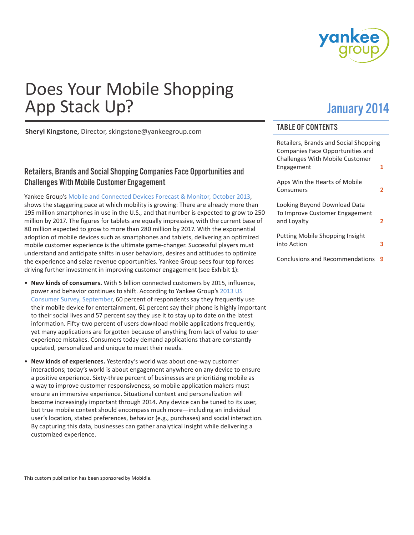

# Does Your Mobile Shopping App Stack Up?

January 2014

**Sheryl Kingstone,** Director, skingstone@yankeegroup.com

# Retailers, Brands and Social Shopping Companies Face Opportunities and Challenges With Mobile Customer Engagement

Yankee Group's [Mobile and Connected Devices Forecast & Monitor, October 2013](http://maps.yankeegroup.com/ygapp/content/60910/55/FAMDATA/0), shows the staggering pace at which mobility is growing: There are already more than 195 million smartphones in use in the U.S., and that number is expected to grow to 250 million by 2017. The figures for tablets are equally impressive, with the current base of 80 million expected to grow to more than 280 million by 2017. With the exponential adoption of mobile devices such as smartphones and tablets, delivering an optimized mobile customer experience is the ultimate game-changer. Successful players must understand and anticipate shifts in user behaviors, desires and attitudes to optimize the experience and seize revenue opportunities. Yankee Group sees four top forces driving further investment in improving customer engagement (see Exhibit 1):

- **New kinds of consumers.** With 5 billion connected customers by 2015, influence, power and behavior continues to shift. According to Yankee Group's [2013 US](http://maps.yankeegroup.com/ygapp/content/61053/0/SURVEYDATA/0)  [Consumer Survey, September](http://maps.yankeegroup.com/ygapp/content/61053/0/SURVEYDATA/0), 60 percent of respondents say they frequently use their mobile device for entertainment, 61 percent say their phone is highly important to their social lives and 57 percent say they use it to stay up to date on the latest information. Fifty-two percent of users download mobile applications frequently, yet many applications are forgotten because of anything from lack of value to user experience mistakes. Consumers today demand applications that are constantly updated, personalized and unique to meet their needs.
- **New kinds of experiences.** Yesterday's world was about one-way customer interactions; today's world is about engagement anywhere on any device to ensure a positive experience. Sixty-three percent of businesses are prioritizing mobile as a way to improve customer responsiveness, so mobile application makers must ensure an immersive experience. Situational context and personalization will become increasingly important through 2014. Any device can be tuned to its user, but true mobile context should encompass much more—including an individual user's location, stated preferences, behavior (e.g., purchases) and social interaction. By capturing this data, businesses can gather analytical insight while delivering a customized experience.

# TABLE OF CONTENTS

| Retailers, Brands and Social Shopping<br><b>Companies Face Opportunities and</b><br><b>Challenges With Mobile Customer</b> |   |
|----------------------------------------------------------------------------------------------------------------------------|---|
| Engagement                                                                                                                 | 1 |
| Apps Win the Hearts of Mobile<br>Consumers                                                                                 | 2 |
| Looking Beyond Download Data<br>To Improve Customer Engagement<br>and Lovalty                                              | 2 |
| <b>Putting Mobile Shopping Insight</b><br>into Action                                                                      | 3 |
| <b>Conclusions and Recommendations</b>                                                                                     | q |

This custom publication has been sponsored by Mobidia.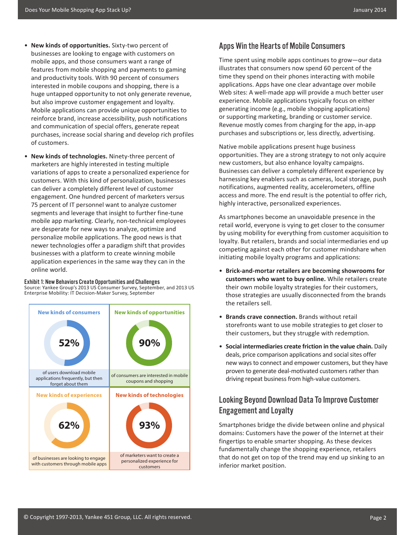- <span id="page-1-0"></span>• **New kinds of opportunities.** Sixty-two percent of businesses are looking to engage with customers on mobile apps, and those consumers want a range of features from mobile shopping and payments to gaming and productivity tools. With 90 percent of consumers interested in mobile coupons and shopping, there is a huge untapped opportunity to not only generate revenue, but also improve customer engagement and loyalty. Mobile applications can provide unique opportunities to reinforce brand, increase accessibility, push notifications and communication of special offers, generate repeat purchases, increase social sharing and develop rich profiles of customers.
- **New kinds of technologies.** Ninety-three percent of marketers are highly interested in testing multiple variations of apps to create a personalized experience for customers. With this kind of personalization, businesses can deliver a completely different level of customer engagement. One hundred percent of marketers versus 75 percent of IT personnel want to analyze customer segments and leverage that insight to further fine-tune mobile app marketing. Clearly, non-technical employees are desperate for new ways to analyze, optimize and personalize mobile applications. The good news is that newer technologies offer a paradigm shift that provides businesses with a platform to create winning mobile application experiences in the same way they can in the online world.

#### Exhibit 1: New Behaviors Create Opportunities and Challenges

Source: Yankee Group's 2013 US Consumer Survey, September, and 2013 US Enterprise Mobility: IT Decision-Maker Survey, September



### Apps Win the Hearts of Mobile Consumers

Time spent using mobile apps continues to grow—our data illustrates that consumers now spend 60 percent of the time they spend on their phones interacting with mobile applications. Apps have one clear advantage over mobile Web sites: A well-made app will provide a much better user experience. Mobile applications typically focus on either generating income (e.g., mobile shopping applications) or supporting marketing, branding or customer service. Revenue mostly comes from charging for the app, in-app purchases and subscriptions or, less directly, advertising.

Native mobile applications present huge business opportunities. They are a strong strategy to not only acquire new customers, but also enhance loyalty campaigns. Businesses can deliver a completely different experience by harnessing key enablers such as cameras, local storage, push notifications, augmented reality, accelerometers, offline access and more. The end result is the potential to offer rich, highly interactive, personalized experiences.

As smartphones become an unavoidable presence in the retail world, everyone is vying to get closer to the consumer by using mobility for everything from customer acquisition to loyalty. But retailers, brands and social intermediaries end up competing against each other for customer mindshare when initiating mobile loyalty programs and applications:

- **Brick-and-mortar retailers are becoming showrooms for customers who want to buy online.** While retailers create their own mobile loyalty strategies for their customers, those strategies are usually disconnected from the brands the retailers sell.
- **Brands crave connection.** Brands without retail storefronts want to use mobile strategies to get closer to their customers, but they struggle with redemption.
- **Social intermediaries create friction in the value chain.** Daily deals, price comparison applications and social sites offer new ways to connect and empower customers, but they have proven to generate deal-motivated customers rather than driving repeat business from high-value customers.

# Looking Beyond Download Data To Improve Customer Engagement and Loyalty

Smartphones bridge the divide between online and physical domains: Customers have the power of the Internet at their fingertips to enable smarter shopping. As these devices fundamentally change the shopping experience, retailers that do not get on top of the trend may end up sinking to an inferior market position.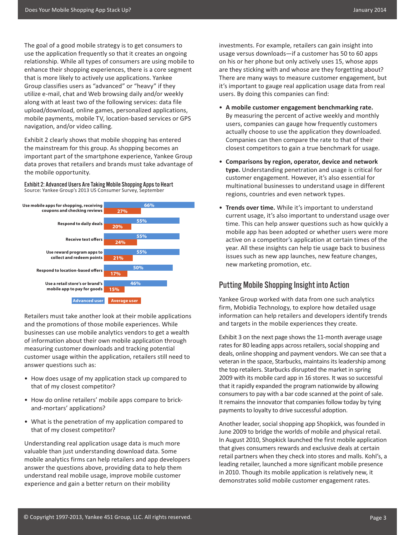<span id="page-2-0"></span>The goal of a good mobile strategy is to get consumers to use the application frequently so that it creates an ongoing relationship. While all types of consumers are using mobile to enhance their shopping experiences, there is a core segment that is more likely to actively use applications. Yankee Group classifies users as "advanced" or "heavy" if they utilize e-mail, chat and Web browsing daily and/or weekly along with at least two of the following services: data file upload/download, online games, personalized applications, mobile payments, mobile TV, location-based services or GPS navigation, and/or video calling.

Exhibit 2 clearly shows that mobile shopping has entered the mainstream for this group. As shopping becomes an important part of the smartphone experience, Yankee Group data proves that retailers and brands must take advantage of the mobile opportunity.

Exhibit 2: Advanced Users Are Taking Mobile Shopping Apps to Heart Source: Yankee Group's 2013 US Consumer Survey, September



Retailers must take another look at their mobile applications and the promotions of those mobile experiences. While businesses can use mobile analytics vendors to get a wealth of information about their own mobile application through measuring customer downloads and tracking potential customer usage within the application, retailers still need to answer questions such as:

- How does usage of my application stack up compared to that of my closest competitor?
- How do online retailers' mobile apps compare to brickand-mortars' applications?
- What is the penetration of my application compared to that of my closest competitor?

Understanding real application usage data is much more valuable than just understanding download data. Some mobile analytics firms can help retailers and app developers answer the questions above, providing data to help them understand real mobile usage, improve mobile customer experience and gain a better return on their mobility

investments. For example, retailers can gain insight into usage versus downloads—if a customer has 50 to 60 apps on his or her phone but only actively uses 15, whose apps are they sticking with and whose are they forgetting about? There are many ways to measure customer engagement, but it's important to gauge real application usage data from real users. By doing this companies can find:

- **A mobile customer engagement benchmarking rate.** By measuring the percent of active weekly and monthly users, companies can gauge how frequently customers actually choose to use the application they downloaded. Companies can then compare the rate to that of their closest competitors to gain a true benchmark for usage.
- **Comparisons by region, operator, device and network type.** Understanding penetration and usage is critical for customer engagement. However, it's also essential for multinational businesses to understand usage in different regions, countries and even network types.
- **Trends over time.** While it's important to understand current usage, it's also important to understand usage over time. This can help answer questions such as how quickly a mobile app has been adopted or whether users were more active on a competitor's application at certain times of the year. All these insights can help tie usage back to business issues such as new app launches, new feature changes, new marketing promotion, etc.

# Putting Mobile Shopping Insight into Action

Yankee Group worked with data from one such analytics firm, Mobidia Technology, to explore how detailed usage information can help retailers and developers identify trends and targets in the mobile experiences they create.

Exhibit 3 on the next page shows the 11-month average usage rates for 80 leading apps across retailers, social shopping and deals, online shopping and payment vendors. We can see that a veteran in the space, Starbucks, maintains its leadership among the top retailers. Starbucks disrupted the market in spring 2009 with its mobile card app in 16 stores. It was so successful that it rapidly expanded the program nationwide by allowing consumers to pay with a bar code scanned at the point of sale. It remains the innovator that companies follow today by tying payments to loyalty to drive successful adoption.

Another leader, social shopping app Shopkick, was founded in June 2009 to bridge the worlds of mobile and physical retail. In August 2010, Shopkick launched the first mobile application that gives consumers rewards and exclusive deals at certain retail partners when they check into stores and malls. Kohl's, a leading retailer, launched a more significant mobile presence in 2010. Though its mobile application is relatively new, it demonstrates solid mobile customer engagement rates.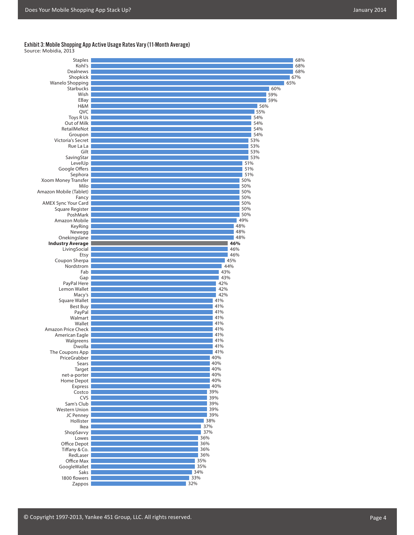# Exhibit 3: Mobile Shopping App Active Usage Rates Vary (11-Month Average) Source: Mobidia, 2013

| Staples                    | 68% |
|----------------------------|-----|
| Kohl's                     | 68% |
| <b>Dealnews</b>            | 68% |
| Shopkick                   | 67% |
| Wanelo Shopping            | 65% |
| <b>Starbucks</b>           | 60% |
| Wish                       | 59% |
| EBay                       | 59% |
| H&M                        | 56% |
| QVC                        | 55% |
| Toys R Us                  | 54% |
| Out of Milk                | 54% |
| RetailMeNot                | 54% |
|                            | 54% |
| Groupon                    |     |
| Victoria's Secret          | 53% |
| Rue La La                  | 53% |
| Gilt                       | 53% |
| SavingStar                 | 53% |
| LevelUp                    | 51% |
| Google Offers              | 51% |
| Sephora                    | 51% |
| Xoom Money Transfer        | 50% |
| Milo                       | 50% |
| Amazon Mobile (Tablet)     | 50% |
| Fancy                      | 50% |
| <b>AMEX Sync Your Card</b> | 50% |
| Square Register            | 50% |
| PoshMark                   | 50% |
| Amazon Mobile              | 49% |
| KeyRing                    | 48% |
| Newegg                     | 48% |
| Onekingslane               | 48% |
| <b>Industry Average</b>    | 46% |
| LivingSocial               | 46% |
| Etsy                       | 46% |
| Coupon Sherpa              | 45% |
| Nordstrom                  | 44% |
| Fab                        | 43% |
|                            | 43% |
| Gap                        | 42% |
| PayPal Here                |     |
| Lemon Wallet               | 42% |
| Macy's                     | 42% |
| Square Wallet              | 41% |
| Best Buy                   | 41% |
| PayPal                     | 41% |
| Walmart                    | 41% |
| Wallet                     | 41% |
| Amazon Price Check         | 41% |
| American Eagle             | 41% |
| Walgreens                  | 41% |
| Dwolla                     | 41% |
| The Coupons App            | 41% |
| PriceGrabber               | 40% |
| Sears                      | 40% |
| Target                     | 40% |
| net-a-porter               | 40% |
| Home Depot                 | 40% |
| Express                    | 40% |
| Costco                     | 39% |
| CVS                        | 39% |
| Sam's Club                 | 39% |
| Western Union              | 39% |
| JC Penney                  | 39% |
| Hollister                  | 38% |
| Ikea                       | 37% |
| ShopSavvy                  | 37% |
|                            | 36% |
| Lowes                      | 36% |
| Office Depot               |     |
| Tiffany & Co.              | 36% |
| RedLaser                   | 36% |
| Office Max                 | 35% |
| GoogleWallet               | 35% |
| Saks                       | 34% |
| 1800 flowers               | 33% |
| Zappos                     | 32% |
|                            |     |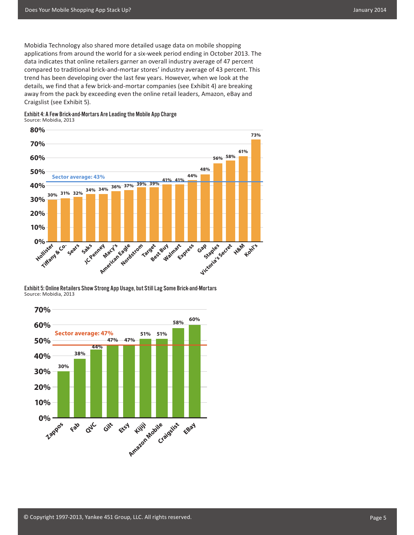Mobidia Technology also shared more detailed usage data on mobile shopping applications from around the world for a six-week period ending in October 2013. The data indicates that online retailers garner an overall industry average of 47 percent compared to traditional brick-and-mortar stores' industry average of 43 percent. This trend has been developing over the last few years. However, when we look at the details, we find that a few brick-and-mortar companies (see Exhibit 4) are breaking away from the pack by exceeding even the online retail leaders, Amazon, eBay and Craigslist (see Exhibit 5).





Exhibit 5: Online Retailers Show Strong App Usage, but Still Lag Some Brick-and-Mortars Source: Mobidia, 2013

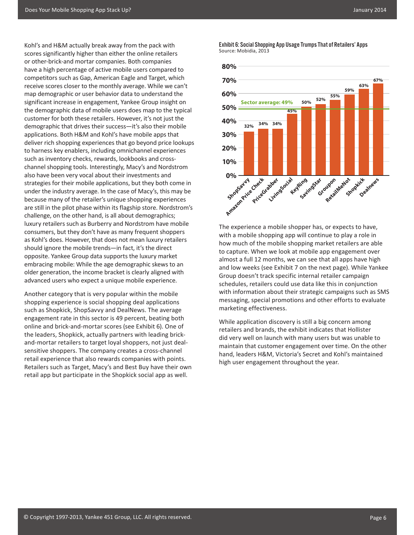Kohl's and H&M actually break away from the pack with scores significantly higher than either the online retailers or other-brick-and mortar companies. Both companies have a high percentage of active mobile users compared to competitors such as Gap, American Eagle and Target, which receive scores closer to the monthly average. While we can't map demographic or user behavior data to understand the significant increase in engagement, Yankee Group insight on the demographic data of mobile users does map to the typical customer for both these retailers. However, it's not just the demographic that drives their success—it's also their mobile applications. Both H&M and Kohl's have mobile apps that deliver rich shopping experiences that go beyond price lookups to harness key enablers, including omnichannel experiences such as inventory checks, rewards, lookbooks and crosschannel shopping tools. Interestingly, Macy's and Nordstrom also have been very vocal about their investments and strategies for their mobile applications, but they both come in under the industry average. In the case of Macy's, this may be because many of the retailer's unique shopping experiences are still in the pilot phase within its flagship store. Nordstrom's challenge, on the other hand, is all about demographics; luxury retailers such as Burberry and Nordstrom have mobile consumers, but they don't have as many frequent shoppers as Kohl's does. However, that does not mean luxury retailers should ignore the mobile trends—in fact, it's the direct opposite. Yankee Group data supports the luxury market embracing mobile: While the age demographic skews to an older generation, the income bracket is clearly aligned with advanced users who expect a unique mobile experience.

Another category that is very popular within the mobile shopping experience is social shopping deal applications such as Shopkick, ShopSavvy and DealNews. The average engagement rate in this sector is 49 percent, beating both online and brick-and-mortar scores (see Exhibit 6). One of the leaders, Shopkick, actually partners with leading brickand-mortar retailers to target loyal shoppers, not just dealsensitive shoppers. The company creates a cross-channel retail experience that also rewards companies with points. Retailers such as Target, Macy's and Best Buy have their own retail app but participate in the Shopkick social app as well.

Exhibit 6: Social Shopping App Usage Trumps That of Retailers' Apps Source: Mobidia, 2013



The experience a mobile shopper has, or expects to have, with a mobile shopping app will continue to play a role in how much of the mobile shopping market retailers are able to capture. When we look at mobile app engagement over almost a full 12 months, we can see that all apps have high and low weeks (see Exhibit 7 on the next page). While Yankee Group doesn't track specific internal retailer campaign schedules, retailers could use data like this in conjunction with information about their strategic campaigns such as SMS messaging, special promotions and other efforts to evaluate marketing effectiveness.

While application discovery is still a big concern among retailers and brands, the exhibit indicates that Hollister did very well on launch with many users but was unable to maintain that customer engagement over time. On the other hand, leaders H&M, Victoria's Secret and Kohl's maintained high user engagement throughout the year.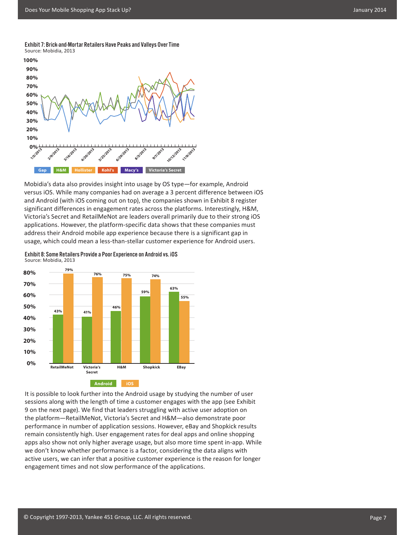Exhibit 7: Brick-and-Mortar Retailers Have Peaks and Valleys Over Time Source: Mobidia, 2013



Mobidia's data also provides insight into usage by OS type—for example, Android versus iOS. While many companies had on average a 3 percent difference between iOS and Android (with iOS coming out on top), the companies shown in Exhibit 8 register significant differences in engagement rates across the platforms. Interestingly, H&M, Victoria's Secret and RetailMeNot are leaders overall primarily due to their strong iOS applications. However, the platform-specific data shows that these companies must address their Android mobile app experience because there is a significant gap in usage, which could mean a less-than-stellar customer experience for Android users.

Exhibit 8: Some Retailers Provide a Poor Experience on Android vs. iOS Source: Mobidia, 2013



It is possible to look further into the Android usage by studying the number of user sessions along with the length of time a customer engages with the app (see Exhibit 9 on the next page). We find that leaders struggling with active user adoption on the platform—RetailMeNot, Victoria's Secret and H&M—also demonstrate poor performance in number of application sessions. However, eBay and Shopkick results remain consistently high. User engagement rates for deal apps and online shopping apps also show not only higher average usage, but also more time spent in-app. While we don't know whether performance is a factor, considering the data aligns with active users, we can infer that a positive customer experience is the reason for longer engagement times and not slow performance of the applications.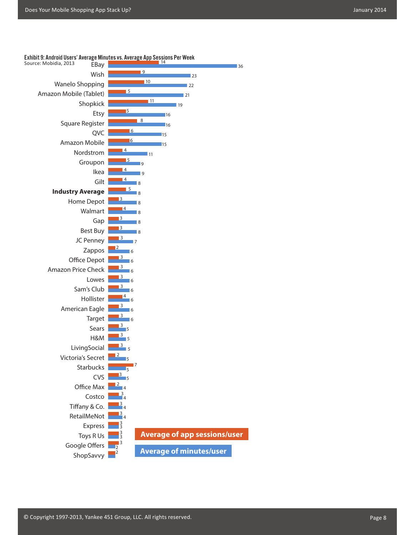

#### Exhibit 9: Android Users' Average Minu<u>tes vs. Average App Se</u>ssions Per Week